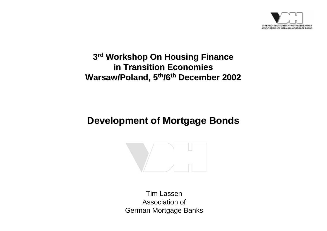

### **3rd Workshop On Housing Finance in Transition Economies in Transition EconomiesWarsaw/Poland, 5<sup>th</sup>/6<sup>th</sup> December 2002**

## **Development of Mortgage Bonds Development of Mortgage Bonds**



Tim LassenAssociation ofGerman Mortgage Banks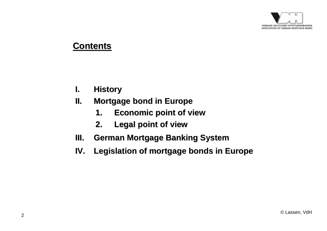

#### **Contents Contents**

- **I.History History**
- **II. Mortgage Mortgage bond in Europe in Europe**
	- **1.Economic point of view Economic point of view**
	- **2.Legal point of view Legal point of view**
- **III.German Mortgage Banking System German Mortgage Banking System**
- **IV.Legislation of mortgage bonds in Europe Legislation of mortgage bonds in Europe**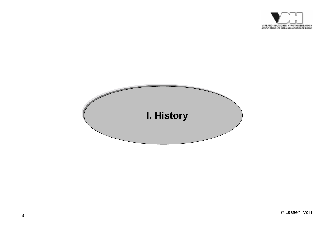

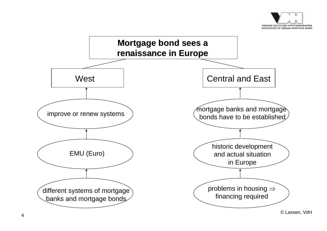

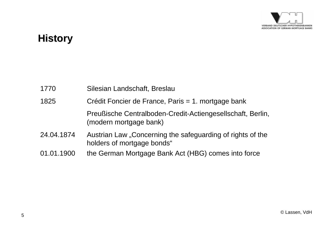![](_page_4_Picture_0.jpeg)

## **History History**

| 1770       | Silesian Landschaft, Breslau                                                             |
|------------|------------------------------------------------------------------------------------------|
| 1825       | Crédit Foncier de France, Paris = 1. mortgage bank                                       |
|            | Preußische Centralboden-Credit-Actiengesellschaft, Berlin,<br>(modern mortgage bank)     |
| 24.04.1874 | Austrian Law "Concerning the safeguarding of rights of the<br>holders of mortgage bonds" |
| 01.01.1900 | the German Mortgage Bank Act (HBG) comes into force                                      |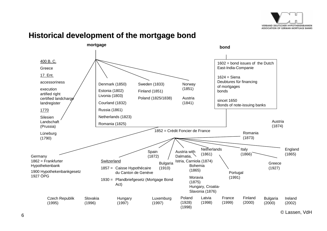![](_page_5_Picture_0.jpeg)

#### **mortgage bond**400 B. C. **Greece** 17. Ent. accessorinessexecutionartified right certified landcharge landregister 1770 Silesien Landschaft(Prussia) Lüneburg (1790)  $1602$  = bond issues of the Dutch East-India-Companie  $1624$  = Siena Deubtures für financing of mortgages bondssincet 1650Bonds of note-issuing banks Norway (1851) Denmark (1850) Sweden (1833) Austria(1841) Estonia (1802) Finland (1851) Netherlands (1823) 1852 = Crédit Foncier de FranceGermany 1862 = FrankfurterHypothekenbank 1900 Hypothekenbankgesetz 1927 ÖPGSpain (1872) Austria(1874) Italy (1866) England (1865) Greece(1927) Portugal (1991) **Switzerland** 1857 = Caisse Hypothécaire du Canton de Genève1930 = Pfandbriefgesetz (Mortgage Bond Act) **Netherlands** (1861) Poland (1825/1838) France(1999) Latvia(1998) Poland(1928) (1998) Luxemburg (1997) **Hungary** (1997) Slovakia(1996) Czech Republik (1995) Bohemia(1865) Moravia(1875) Hungary, Croatia-Slavonia (1876) Courland (1832) Livonia (1803) Russia (1861) Romania (1825) Bulgaria (1910) Romania(1873) Finland(2000) Austria with Dalmatia, Istria, Carniola (1874) Bulgaria (2000) Ireland(2002)

#### **Historical development of the mortgage bond Historical development of the mortgage bond**

© Lassen, VdH <sup>6</sup>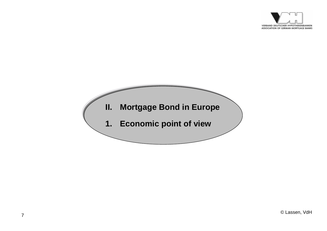![](_page_6_Picture_0.jpeg)

![](_page_6_Figure_1.jpeg)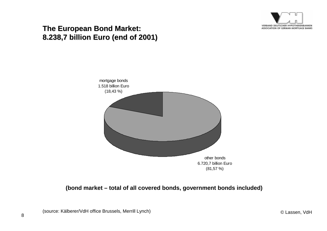![](_page_7_Picture_0.jpeg)

#### **The European Bond Market: The European Bond Market: 8.238,7 billion Euro (end of 2001) billion Euro (end of 2001)**

![](_page_7_Figure_2.jpeg)

#### **(bond market – total of all covered bonds, government bonds included)**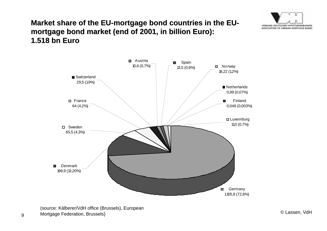![](_page_8_Picture_0.jpeg)

#### **Market share of the EU Market share of the EU-mortgage bond countries in the EU mortgage bond countries in the EUmortgage bond market (end of 2001, in billion Euro) mortgage bond market (end of 2001, in billion Euro): 1.518 bn Euro**

![](_page_8_Figure_2.jpeg)

© Lassen, VdH <sup>9</sup>Mortgage Federation, Brussels)(source: Kälberer/VdH office (Brussels), European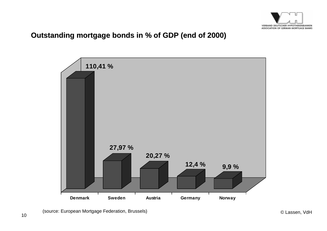![](_page_9_Picture_0.jpeg)

#### **Outstanding mortgage bonds in % of GDP (end of 2000) Outstanding mortgage bonds in % of GDP (end of 2000)**

![](_page_9_Figure_2.jpeg)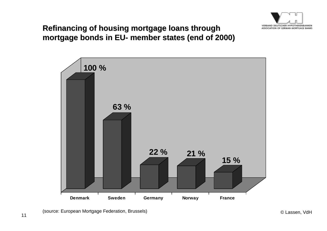![](_page_10_Picture_0.jpeg)

#### **Refinancing of housing mortgage loans through mortgage bonds mortgage bonds in EU- member states (end of 2000) member states (end of 2000)**

![](_page_10_Figure_2.jpeg)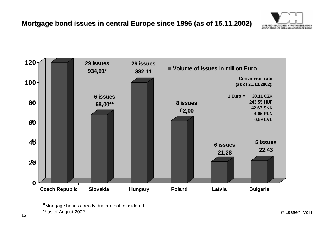![](_page_11_Picture_1.jpeg)

![](_page_11_Figure_2.jpeg)

<sup>\*</sup>Mortgage bonds already due are not considered!

© Lassen, VdH <sup>12</sup>\*\* as of August 2002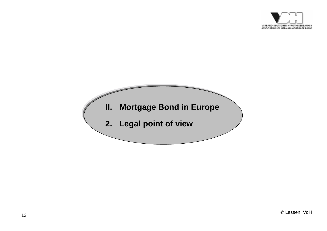![](_page_12_Picture_0.jpeg)

![](_page_12_Figure_1.jpeg)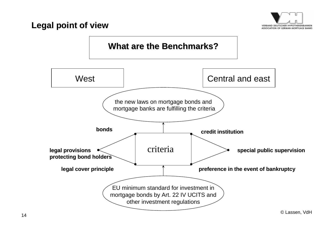![](_page_13_Picture_0.jpeg)

#### **Legal point of view Legal point of view**

![](_page_13_Figure_2.jpeg)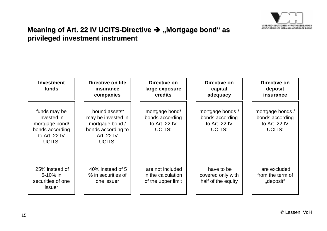![](_page_14_Picture_0.jpeg)

#### **Meaning of Art. 22 IV UCITS-Directive → "Mortgage bond" as privileged investment instrument privileged investment instrument**

![](_page_14_Figure_2.jpeg)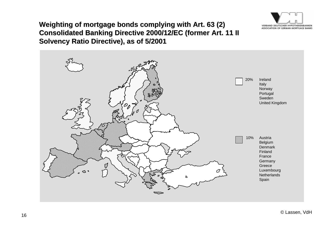![](_page_15_Picture_0.jpeg)

#### **Weighting of mortgage bonds complying with Art. 63 (2) Consolidated Banking Directive 2000/12/EC (former Art. 11 II Solvency Ratio Directive), as of 5/2001 Solvency Ratio Directive), as of 5/2001**

![](_page_15_Picture_2.jpeg)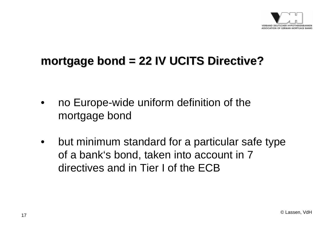![](_page_16_Picture_0.jpeg)

## **mortgage bond = 22 IV UCITS Directive? mortgage bond = 22 IV UCITS Directive?**

- • no Europe-wide uniform definition of the mortgage bond
- $\bullet$  but minimum standard for a particular safe type of a bank's bond, taken into account in 7 directives and in Tier I of the ECB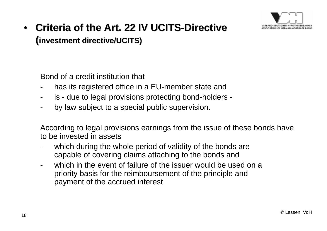![](_page_17_Picture_0.jpeg)

## • Criteria of the Art. 22 IV UCITS-Directive **(investment directive/UCITS) investment directive/UCITS)**

Bond of a credit institution that

- has its registered office in a EU-member state and
- is - due to legal provisions protecting bond-holders -
- by law subject to a special public supervision.

According to legal provisions earnings from the issue of these bonds have to be invested in assets

- which during the whole period of validity of the bonds are capable of covering claims attaching to the bonds and
- which in the event of failure of the issuer would be used on a priority basis for the reimboursement of the principle and payment of the accrued interest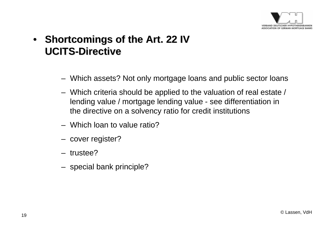![](_page_18_Picture_0.jpeg)

## • **Shortcomings Shortcomings of the Art. 22 IV Art. 22 IV UCITS-Directive Directive**

- Which assets? Not only mortgage loans and public sector loans
- Which criteria should be applied to the valuation of real estate / lending value / mortgage lending value - see differentiation in the directive on a solvency ratio for credit institutions
- Which loan to value ratio?
- cover register?
- trustee?
- special bank principle?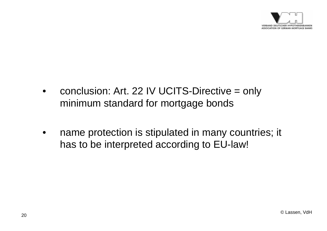![](_page_19_Picture_0.jpeg)

- • conclusion: Art. 22 IV UCITS-Directive = only minimum standard for mortgage bonds
- • name protection is stipulated in many countries; it has to be interpreted according to EU-law!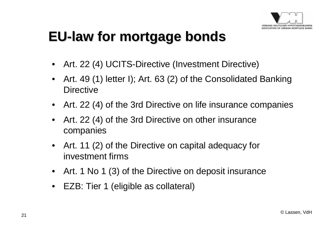![](_page_20_Picture_0.jpeg)

## **EU-law for mortgage bonds law for mortgage bonds**

- •Art. 22 (4) UCITS-Directive (Investment Directive)
- • Art. 49 (1) letter I); Art. 63 (2) of the Consolidated Banking **Directive**
- •Art. 22 (4) of the 3rd Directive on life insurance companies
- • Art. 22 (4) of the 3rd Directive on other insurance companies
- • Art. 11 (2) of the Directive on capital adequacy for investment firms
- Art. 1 No 1 (3) of the Directive on deposit insurance
- EZB: Tier 1 (eligible as collateral)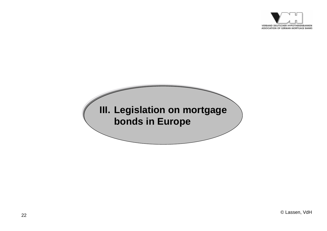![](_page_21_Picture_0.jpeg)

# **III. Legislation egislation on mortgage on mortgage bonds in Europe bonds in Europe**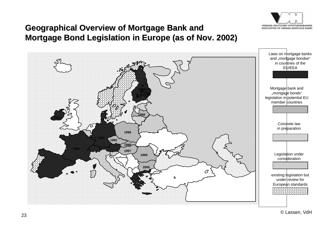![](_page_22_Picture_0.jpeg)

#### **Geographical Overview of Mortgage Bank and Geographical Overview of Mortgage Bank and Mortgage Bond Legislation in Europe (as of Nov. 2002)**

![](_page_22_Figure_2.jpeg)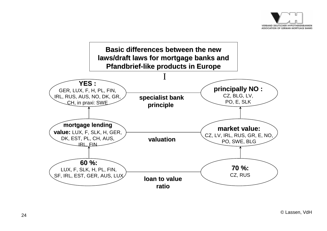![](_page_23_Picture_0.jpeg)

![](_page_23_Figure_1.jpeg)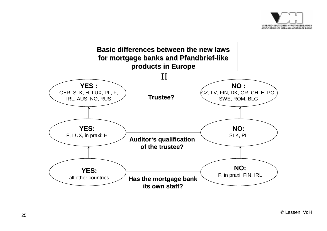![](_page_24_Picture_0.jpeg)

![](_page_24_Figure_1.jpeg)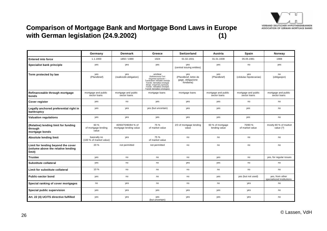![](_page_25_Picture_0.jpeg)

#### **Comparison of Mortgage Bank and Mortgage Bond Laws in Europe with German legislation (24.9.2002) with German legislation (24.9.2002) (1)**

|                                                                                    | Germany                                 | <b>Denmark</b>                                | Greece                                                                                                                                                                                                                               | <b>Switzerland</b>                                               | Austria                             | Spain                               | Norway                                       |
|------------------------------------------------------------------------------------|-----------------------------------------|-----------------------------------------------|--------------------------------------------------------------------------------------------------------------------------------------------------------------------------------------------------------------------------------------|------------------------------------------------------------------|-------------------------------------|-------------------------------------|----------------------------------------------|
| <b>Entered into force</b>                                                          | 1.1.1900                                | 1850 / 1989                                   | 1924                                                                                                                                                                                                                                 | 01.02.1931                                                       | 01.01.1939                          | 05.05.1981                          | 1988                                         |
| Specialist bank principle                                                          | yes                                     | yes                                           | yes                                                                                                                                                                                                                                  | yes<br>yes<br>(central issuing entities)                         |                                     | no                                  | yes                                          |
| Term protected by law                                                              | yes<br>(Pfandbrief)                     | yes<br>(realkredit-obligation)                | unclear<br>(Katharevousa-Text:<br>κτηματκαί ομολογίαι -<br>Transkribiert: ktimatike omolojie<br>Translit.: ktematikai omologiai<br>Neugr.: κτηματικές ομολογίες<br>Transkr.: ktimatikes omolojies<br>Translit: ktematikes omologies) | yes<br>(Pfandbrief, lettre de<br>gage, obligazione<br>fondiaria) | yes<br>(Pfandbrief)                 | yes<br>(cédulas hipotecarias)       | no<br>(obligasjon)                           |
| Refinanceable through mortgage<br>bonds                                            | mortgage and public<br>sector loans     | mortgage and public<br>sector loans           | mortgage loans                                                                                                                                                                                                                       | mortgage loans                                                   | mortgage and public<br>sector loans | mortgage and public<br>sector loans | mortgage and public<br>sector loans          |
| Cover register                                                                     | yes                                     | no                                            | yes                                                                                                                                                                                                                                  | yes                                                              | yes                                 | no                                  | no                                           |
| Legally anchored preferential right in<br>bankruptcy                               | yes                                     | yes                                           | yes (but uncertain)                                                                                                                                                                                                                  | yes                                                              | yes                                 | yes                                 | no                                           |
| <b>Valuation regulations</b>                                                       | yes                                     | yes                                           | yes                                                                                                                                                                                                                                  | yes                                                              | yes                                 | yes                                 | no                                           |
| (Relative) lending limit for funding<br>through<br>mortgage bonds                  | 60 %<br>of mortgage lending<br>value    | 40/60/70/80/84 % of<br>mortgage lending value | 75 %<br>of market value                                                                                                                                                                                                              | 2/3 of mortgage lending<br>value                                 | 60 % of mortgage<br>lending value   | 70/80 %<br>of market value          | mostly 80 % of market<br>value (?)           |
| <b>Absolute lending limit</b>                                                      | basically no<br>(100 % of market value) | yes                                           | 75 %<br>of market value                                                                                                                                                                                                              | no                                                               | no                                  | no                                  | no                                           |
| Limit for lending beyond the cover<br>(volume above the relative lending<br>limit) | 20 %                                    | not permitted                                 | not permitted                                                                                                                                                                                                                        | no                                                               | no                                  | no                                  | no                                           |
| <b>Trustee</b>                                                                     | yes                                     | no                                            | no                                                                                                                                                                                                                                   | no                                                               | yes                                 | no                                  | yes, for regular issues                      |
| Substitute collateral                                                              | yes                                     | no                                            | no                                                                                                                                                                                                                                   | yes                                                              | yes                                 | no                                  | no                                           |
| Limit for substitute collateral                                                    | 10 %                                    | no                                            | no                                                                                                                                                                                                                                   | no                                                               | no                                  | no                                  | no                                           |
| <b>Public-sector bond</b>                                                          | yes                                     | no                                            | no                                                                                                                                                                                                                                   | no                                                               | yes                                 | yes (but not used)                  | yes, from other<br>specialiszed institutions |
| Special ranking of cover mortgages                                                 | no                                      | yes                                           | no                                                                                                                                                                                                                                   | no                                                               | no                                  | yes                                 | no                                           |
| Special public supervision                                                         | yes                                     | yes                                           | yes                                                                                                                                                                                                                                  | yes                                                              | yes                                 | yes                                 | no                                           |
| Art. 22 (4) UCITS directive fulfilled                                              | yes                                     | yes                                           | yes<br>(but uncertain)                                                                                                                                                                                                               | yes                                                              | yes                                 | yes                                 | no                                           |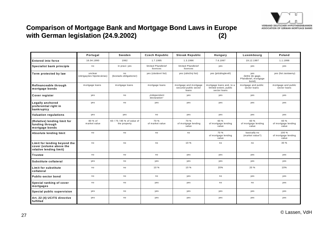![](_page_26_Picture_0.jpeg)

#### **Comparison of Mortgage Bank and Mortgage Bond Laws in Europe with German legislation (24.9.2002) with German legislation (24.9.2002) (2)**

|                                                                                    | Portugal                             | Sweden                                     | <b>Czech Republic</b>          | <b>Slovak Republic</b>                                  | Hungary                                                            | Luxembourg                                               | Poland                                |
|------------------------------------------------------------------------------------|--------------------------------------|--------------------------------------------|--------------------------------|---------------------------------------------------------|--------------------------------------------------------------------|----------------------------------------------------------|---------------------------------------|
| <b>Entered into force</b>                                                          | 16.04.1990                           | 1992                                       | 1.7.1995                       | 1.3.1996                                                | 7.6.1997                                                           | 19.12.1997                                               | 1.1.1998                              |
| Specialist bank principle                                                          | no                                   | in praxi: yes                              | limited Pfandbrief<br>licences | limited Pfandbrief<br>licences                          | yes                                                                | yes                                                      | yes                                   |
| Term protected by law                                                              | unclear<br>(obrigações hipotecárias) | no<br>(bostads-obligationer)               | yes (zástávní list)            | yes (záložný list)                                      | yes (jelzáloglevél)                                                | yes<br>(lettre de gage,<br>Pfandbrief, mortgage<br>bond) | yes (list zastawny)                   |
| Refinanceable through<br>mortgage bonds                                            | mortgage loans                       | mortgage loans                             | mortgage loans                 | mortgage and mortgage<br>secured public sector<br>loans | mortgage loans and, to a<br>limited extent, public<br>sector loans | mortgage and public<br>sector loans                      | mortgage and public<br>sector loans   |
| Cover register                                                                     | yes                                  | no                                         | "independent<br>declaration"   | yes                                                     | yes                                                                | yes                                                      | yes                                   |
| Legally anchored<br>preferential right in<br>bankruptcy                            | yes                                  | no                                         | yes                            | yes                                                     | yes                                                                | yes                                                      | yes                                   |
| <b>Valuation regulations</b>                                                       | yes                                  | yes                                        | no                             | yes                                                     | yes                                                                | yes                                                      | yes                                   |
| (Relative) lending limit for<br>funding through<br>mortgage bonds                  | 80 % of<br>market value              | 60 / 75 / 85 % of value of<br>the property | 70 %<br>of market value        | 70 %<br>of mortgage lending<br>value                    | 60 %<br>of mortgage lending<br>value                               | 60 %<br>of mortgage lending<br>value                     | 60 %<br>of mortgage lending<br>value  |
| Absolute lending limit                                                             | no                                   | no                                         | no                             | no                                                      | 70 %<br>of mortgage lending<br>value                               | basically no<br>(market value?)                          | 100 %<br>of mortgage lending<br>value |
| Limit for lending beyond the<br>cover (volume above the<br>relative lending limit) | no                                   | no                                         | no                             | 10 %                                                    | no                                                                 | no                                                       | 30 %                                  |
| <b>Trustee</b>                                                                     | no                                   | no                                         | no                             | yes                                                     | yes                                                                | yes                                                      | yes                                   |
| Substitute collateral                                                              | yes                                  | no                                         | yes                            | yes                                                     | yes                                                                | yes                                                      | yes                                   |
| <b>Limit for substitute</b><br>collateral                                          | no                                   | no                                         | 10 %                           | 10 %                                                    | 20%                                                                | 20 %                                                     | 10%                                   |
| <b>Public-sector bond</b>                                                          | no                                   | no                                         | no                             | yes                                                     | no                                                                 | yes                                                      | yes                                   |
| Special ranking of cover<br>mortgages                                              | no                                   | no                                         | yes                            | yes                                                     | no                                                                 | no                                                       | yes                                   |
| Special public supervision                                                         | yes                                  | no                                         | yes                            | yes                                                     | yes                                                                | yes                                                      | yes                                   |
| Art. 22 (4) UCITS directive<br>fulfilled                                           | yes                                  | no                                         | yes                            | yes                                                     | yes                                                                | yes                                                      | yes                                   |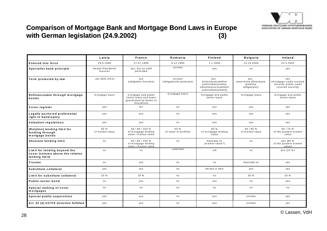![](_page_27_Picture_0.jpeg)

#### **Comparison of Mortgage Bank and Mortgage Bond Laws in Europe with German legislation (24.9.2002) with German legislation (24.9.2002) (3)**

|                                                                                    | Latvia                         | France                                                                                | Romania                              | <b>Finland</b>                                                                                                       | <b>Bulgaria</b>                                        | Ireland                                                                         |
|------------------------------------------------------------------------------------|--------------------------------|---------------------------------------------------------------------------------------|--------------------------------------|----------------------------------------------------------------------------------------------------------------------|--------------------------------------------------------|---------------------------------------------------------------------------------|
| <b>Entered into force</b>                                                          | 29.9.1998                      | 27.07.1999                                                                            | 9.12.1999                            | 1.1.2000                                                                                                             | 13.10.2000                                             | 22.3.2002                                                                       |
| Specialist bank principle                                                          | limited Pfandbrief<br>licences | yes, but no staff<br>perm itted                                                       | unclear                              | yes                                                                                                                  | no                                                     | yes                                                                             |
| Term protected by law                                                              | yes (ķīlu zīme)                | yes<br>(obligation foncière)                                                          | unclear<br>(obligatiunile ipotecare) | yes<br>(kiinteistövakuudellinen<br>joukkovelkakiryeslaina,<br>julkisyhteisöva-kuudellinen<br>joukkovelkakiryeslaina) | yes<br>(ипотечна облигация<br>ipotečna<br>obligaciyes) | yes<br>(mortgage credit covered<br>security, public credit<br>covered security) |
| Refinanceable through mortgage<br>bonds                                            | mortgage loans                 | mortgage and public<br>sector loans and loans<br>quaranteed by banks or<br>insurances | mortgage loans                       | mortgage and public<br>sector loans                                                                                  | mortgage loans                                         | mortgage and public<br>sector loans                                             |
| Cover register                                                                     | yes                            | N <sub>o</sub>                                                                        | no                                   | yes                                                                                                                  | yes                                                    | yes                                                                             |
| Legally anchored preferential<br>right in bankruptcy                               | yes                            | yes                                                                                   | no                                   | yes                                                                                                                  | yes                                                    | yes                                                                             |
| Valuation regulations                                                              | yes                            | yes                                                                                   | no                                   | yes                                                                                                                  | yes                                                    | yes                                                                             |
| (Relative) lending limit for<br>funding through<br>mortgage bonds                  | 60 %<br>of market value        | 60 / 80 / 100 %<br>of mortgage lending<br>value / market value                        | 60 %<br>of value of portfolio        | 60 %<br>of mortgage lending<br>value                                                                                 | 60 / 80 %<br>of market value                           | 60 / 75 %<br>of the prudent market<br>value                                     |
| Absolute lending limit                                                             | no                             | 60 / 80 / 100 %<br>of mortgage lending<br>value / market value                        | no                                   | basically no<br>(market value?)                                                                                      | no                                                     | yes (80 %<br>of the prudent market<br>value)                                    |
| Limit for lending beyond the<br>cover (volume above the relative<br>lending limit) | no                             | no                                                                                    | unlimited                            | 1/6                                                                                                                  | no                                                     | yes (10 %)                                                                      |
| <b>Trustee</b>                                                                     | no                             | yes                                                                                   | no                                   | no                                                                                                                   | basically no                                           | yes                                                                             |
| Substitute collateral                                                              | yes                            | yes                                                                                   | no                                   | limited in time                                                                                                      | yes                                                    | yes                                                                             |
| Lim it for substitute collateral                                                   | 20 %                           | 20 %                                                                                  | no                                   | no                                                                                                                   | 30 %                                                   | 20 %                                                                            |
| Public-sector bond                                                                 | no                             | yes                                                                                   | no                                   | yes                                                                                                                  | no                                                     | yes                                                                             |
| Special ranking of cover<br>mortgages                                              | no                             | n o                                                                                   | no                                   | n o                                                                                                                  | no                                                     | n o                                                                             |
| Special public supervision                                                         | yes                            | yes                                                                                   | no                                   | yes                                                                                                                  | unclear                                                | yes                                                                             |
| Art. 22 (4) UCITS directive fulfilled                                              | yes                            | yes                                                                                   | no                                   | yes                                                                                                                  | unclear                                                | yes                                                                             |